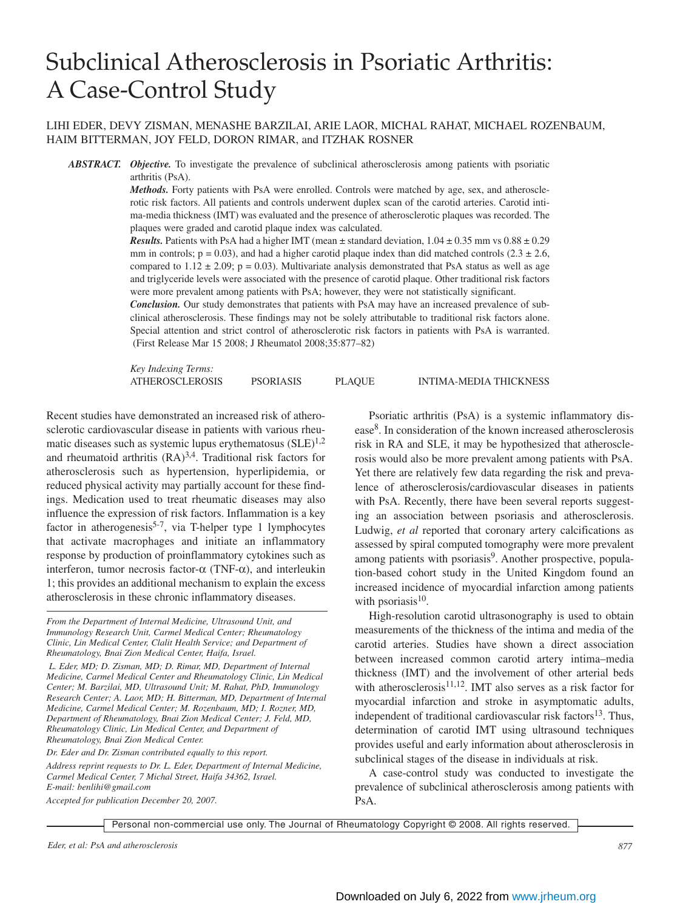# Subclinical Atherosclerosis in Psoriatic Arthritis: A Case-Control Study

## LIHI EDER, DEVY ZISMAN, MENASHE BARZILAI, ARIE LAOR, MICHAL RAHAT, MICHAEL ROZENBAUM, HAIM BITTERMAN, JOY FELD, DORON RIMAR, and ITZHAK ROSNER

*ABSTRACT. Objective.* To investigate the prevalence of subclinical atherosclerosis among patients with psoriatic arthritis (PsA).

> *Methods.* Forty patients with PsA were enrolled. Controls were matched by age, sex, and atherosclerotic risk factors. All patients and controls underwent duplex scan of the carotid arteries. Carotid intima-media thickness (IMT) was evaluated and the presence of atherosclerotic plaques was recorded. The plaques were graded and carotid plaque index was calculated.

> *Results.* Patients with PsA had a higher IMT (mean  $\pm$  standard deviation,  $1.04 \pm 0.35$  mm vs  $0.88 \pm 0.29$ ) mm in controls;  $p = 0.03$ ), and had a higher carotid plaque index than did matched controls (2.3  $\pm$  2.6, compared to  $1.12 \pm 2.09$ ; p = 0.03). Multivariate analysis demonstrated that PsA status as well as age and triglyceride levels were associated with the presence of carotid plaque. Other traditional risk factors were more prevalent among patients with PsA; however, they were not statistically significant.

> *Conclusion.* Our study demonstrates that patients with PsA may have an increased prevalence of subclinical atherosclerosis. These findings may not be solely attributable to traditional risk factors alone. Special attention and strict control of atherosclerotic risk factors in patients with PsA is warranted. (First Release Mar 15 2008; J Rheumatol 2008;35:877–82)

*Key Indexing Terms:* ATHEROSCLEROSIS PSORIASIS PLAQUE INTIMA-MEDIA THICKNESS

Recent studies have demonstrated an increased risk of atherosclerotic cardiovascular disease in patients with various rheumatic diseases such as systemic lupus erythematosus  $(SLE)^{1,2}$ and rheumatoid arthritis  $(RA)^{3,4}$ . Traditional risk factors for atherosclerosis such as hypertension, hyperlipidemia, or reduced physical activity may partially account for these findings. Medication used to treat rheumatic diseases may also influence the expression of risk factors. Inflammation is a key factor in atherogenesis<sup>5-7</sup>, via T-helper type 1 lymphocytes that activate macrophages and initiate an inflammatory response by production of proinflammatory cytokines such as interferon, tumor necrosis factor-α (TNF-α), and interleukin 1; this provides an additional mechanism to explain the excess atherosclerosis in these chronic inflammatory diseases.

*L. Eder, MD; D. Zisman, MD; D. Rimar, MD, Department of Internal Medicine, Carmel Medical Center and Rheumatology Clinic, Lin Medical Center; M. Barzilai, MD, Ultrasound Unit; M. Rahat, PhD, Immunology Research Center; A. Laor, MD; H. Bitterman, MD, Department of Internal Medicine, Carmel Medical Center; M. Rozenbaum, MD; I. Rozner, MD, Department of Rheumatology, Bnai Zion Medical Center; J. Feld, MD, Rheumatology Clinic, Lin Medical Center, and Department of Rheumatology, Bnai Zion Medical Center.*

*Dr. Eder and Dr. Zisman contributed equally to this report. Address reprint requests to Dr. L. Eder, Department of Internal Medicine, Carmel Medical Center, 7 Michal Street, Haifa 34362, Israel. E-mail: benlihi@gmail.com*

*Accepted for publication December 20, 2007.*

Psoriatic arthritis (PsA) is a systemic inflammatory disease8. In consideration of the known increased atherosclerosis risk in RA and SLE, it may be hypothesized that atherosclerosis would also be more prevalent among patients with PsA. Yet there are relatively few data regarding the risk and prevalence of atherosclerosis/cardiovascular diseases in patients with PsA. Recently, there have been several reports suggesting an association between psoriasis and atherosclerosis. Ludwig, *et al* reported that coronary artery calcifications as assessed by spiral computed tomography were more prevalent among patients with psoriasis<sup>9</sup>. Another prospective, population-based cohort study in the United Kingdom found an increased incidence of myocardial infarction among patients with psoriasis $10$ .

High-resolution carotid ultrasonography is used to obtain measurements of the thickness of the intima and media of the carotid arteries. Studies have shown a direct association between increased common carotid artery intima–media thickness (IMT) and the involvement of other arterial beds with atherosclerosis $11,12$ . IMT also serves as a risk factor for myocardial infarction and stroke in asymptomatic adults, independent of traditional cardiovascular risk factors $13$ . Thus, determination of carotid IMT using ultrasound techniques provides useful and early information about atherosclerosis in subclinical stages of the disease in individuals at risk.

A case-control study was conducted to investigate the prevalence of subclinical atherosclerosis among patients with PsA.

*From the Department of Internal Medicine, Ultrasound Unit, and Immunology Research Unit, Carmel Medical Center; Rheumatology Clinic, Lin Medical Center, Clalit Health Service; and Department of Rheumatology, Bnai Zion Medical Center, Haifa, Israel.*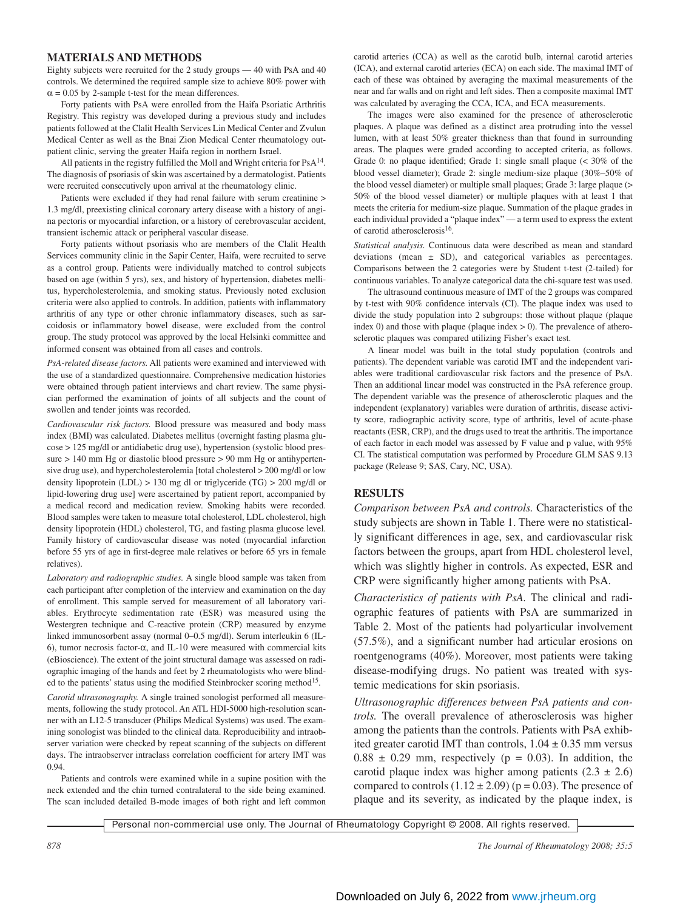#### **MATERIALS AND METHODS**

Eighty subjects were recruited for the 2 study groups — 40 with PsA and 40 controls. We determined the required sample size to achieve 80% power with  $\alpha$  = 0.05 by 2-sample t-test for the mean differences.

Forty patients with PsA were enrolled from the Haifa Psoriatic Arthritis Registry. This registry was developed during a previous study and includes patients followed at the Clalit Health Services Lin Medical Center and Zvulun Medical Center as well as the Bnai Zion Medical Center rheumatology outpatient clinic, serving the greater Haifa region in northern Israel.

All patients in the registry fulfilled the Moll and Wright criteria for  $PsA^{14}$ . The diagnosis of psoriasis of skin was ascertained by a dermatologist. Patients were recruited consecutively upon arrival at the rheumatology clinic.

Patients were excluded if they had renal failure with serum creatinine > 1.3 mg/dl, preexisting clinical coronary artery disease with a history of angina pectoris or myocardial infarction, or a history of cerebrovascular accident, transient ischemic attack or peripheral vascular disease.

Forty patients without psoriasis who are members of the Clalit Health Services community clinic in the Sapir Center, Haifa, were recruited to serve as a control group. Patients were individually matched to control subjects based on age (within 5 yrs), sex, and history of hypertension, diabetes mellitus, hypercholesterolemia, and smoking status. Previously noted exclusion criteria were also applied to controls. In addition, patients with inflammatory arthritis of any type or other chronic inflammatory diseases, such as sarcoidosis or inflammatory bowel disease, were excluded from the control group. The study protocol was approved by the local Helsinki committee and informed consent was obtained from all cases and controls.

*PsA-related disease factors.* All patients were examined and interviewed with the use of a standardized questionnaire. Comprehensive medication histories were obtained through patient interviews and chart review. The same physician performed the examination of joints of all subjects and the count of swollen and tender joints was recorded.

*Cardiovascular risk factors.* Blood pressure was measured and body mass index (BMI) was calculated. Diabetes mellitus (overnight fasting plasma glucose > 125 mg/dl or antidiabetic drug use), hypertension (systolic blood pressure > 140 mm Hg or diastolic blood pressure > 90 mm Hg or antihypertensive drug use), and hypercholesterolemia [total cholesterol > 200 mg/dl or low density lipoprotein (LDL)  $> 130$  mg dl or triglyceride (TG)  $> 200$  mg/dl or lipid-lowering drug use] were ascertained by patient report, accompanied by a medical record and medication review. Smoking habits were recorded. Blood samples were taken to measure total cholesterol, LDL cholesterol, high density lipoprotein (HDL) cholesterol, TG, and fasting plasma glucose level. Family history of cardiovascular disease was noted (myocardial infarction before 55 yrs of age in first-degree male relatives or before 65 yrs in female relatives).

*Laboratory and radiographic studies.* A single blood sample was taken from each participant after completion of the interview and examination on the day of enrollment. This sample served for measurement of all laboratory variables. Erythrocyte sedimentation rate (ESR) was measured using the Westergren technique and C-reactive protein (CRP) measured by enzyme linked immunosorbent assay (normal 0–0.5 mg/dl). Serum interleukin 6 (IL-6), tumor necrosis factor-α, and IL-10 were measured with commercial kits (eBioscience). The extent of the joint structural damage was assessed on radiographic imaging of the hands and feet by 2 rheumatologists who were blinded to the patients' status using the modified Steinbrocker scoring method<sup>15</sup>.

*Carotid ultrasonography.* A single trained sonologist performed all measurements, following the study protocol. An ATL HDI-5000 high-resolution scanner with an L12-5 transducer (Philips Medical Systems) was used. The examining sonologist was blinded to the clinical data. Reproducibility and intraobserver variation were checked by repeat scanning of the subjects on different days. The intraobserver intraclass correlation coefficient for artery IMT was 0.94.

Patients and controls were examined while in a supine position with the neck extended and the chin turned contralateral to the side being examined. The scan included detailed B-mode images of both right and left common carotid arteries (CCA) as well as the carotid bulb, internal carotid arteries (ICA), and external carotid arteries (ECA) on each side. The maximal IMT of each of these was obtained by averaging the maximal measurements of the near and far walls and on right and left sides. Then a composite maximal IMT was calculated by averaging the CCA, ICA, and ECA measurements.

The images were also examined for the presence of atherosclerotic plaques. A plaque was defined as a distinct area protruding into the vessel lumen, with at least 50% greater thickness than that found in surrounding areas. The plaques were graded according to accepted criteria, as follows. Grade 0: no plaque identified; Grade 1: single small plaque (< 30% of the blood vessel diameter); Grade 2: single medium-size plaque (30%–50% of the blood vessel diameter) or multiple small plaques; Grade 3: large plaque (> 50% of the blood vessel diameter) or multiple plaques with at least 1 that meets the criteria for medium-size plaque. Summation of the plaque grades in each individual provided a "plaque index" — a term used to express the extent of carotid atherosclerosis<sup>16</sup>.

*Statistical analysis.* Continuous data were described as mean and standard deviations (mean ± SD), and categorical variables as percentages. Comparisons between the 2 categories were by Student t-test (2-tailed) for continuous variables. To analyze categorical data the chi-square test was used.

The ultrasound continuous measure of IMT of the 2 groups was compared by t-test with 90% confidence intervals (CI). The plaque index was used to divide the study population into 2 subgroups: those without plaque (plaque index  $0$ ) and those with plaque (plaque index  $> 0$ ). The prevalence of atherosclerotic plaques was compared utilizing Fisher's exact test.

A linear model was built in the total study population (controls and patients). The dependent variable was carotid IMT and the independent variables were traditional cardiovascular risk factors and the presence of PsA. Then an additional linear model was constructed in the PsA reference group. The dependent variable was the presence of atherosclerotic plaques and the independent (explanatory) variables were duration of arthritis, disease activity score, radiographic activity score, type of arthritis, level of acute-phase reactants (ESR, CRP), and the drugs used to treat the arthritis. The importance of each factor in each model was assessed by F value and p value, with 95% CI. The statistical computation was performed by Procedure GLM SAS 9.13 package (Release 9; SAS, Cary, NC, USA).

### **RESULTS**

*Comparison between PsA and controls.* Characteristics of the study subjects are shown in Table 1. There were no statistically significant differences in age, sex, and cardiovascular risk factors between the groups, apart from HDL cholesterol level, which was slightly higher in controls. As expected, ESR and CRP were significantly higher among patients with PsA.

*Characteristics of patients with PsA.* The clinical and radiographic features of patients with PsA are summarized in Table 2. Most of the patients had polyarticular involvement (57.5%), and a significant number had articular erosions on roentgenograms (40%). Moreover, most patients were taking disease-modifying drugs. No patient was treated with systemic medications for skin psoriasis.

*Ultrasonographic differences between PsA patients and controls.* The overall prevalence of atherosclerosis was higher among the patients than the controls. Patients with PsA exhibited greater carotid IMT than controls,  $1.04 \pm 0.35$  mm versus  $0.88 \pm 0.29$  mm, respectively ( $p = 0.03$ ). In addition, the carotid plaque index was higher among patients  $(2.3 \pm 2.6)$ compared to controls  $(1.12 \pm 2.09)$  (p = 0.03). The presence of plaque and its severity, as indicated by the plaque index, is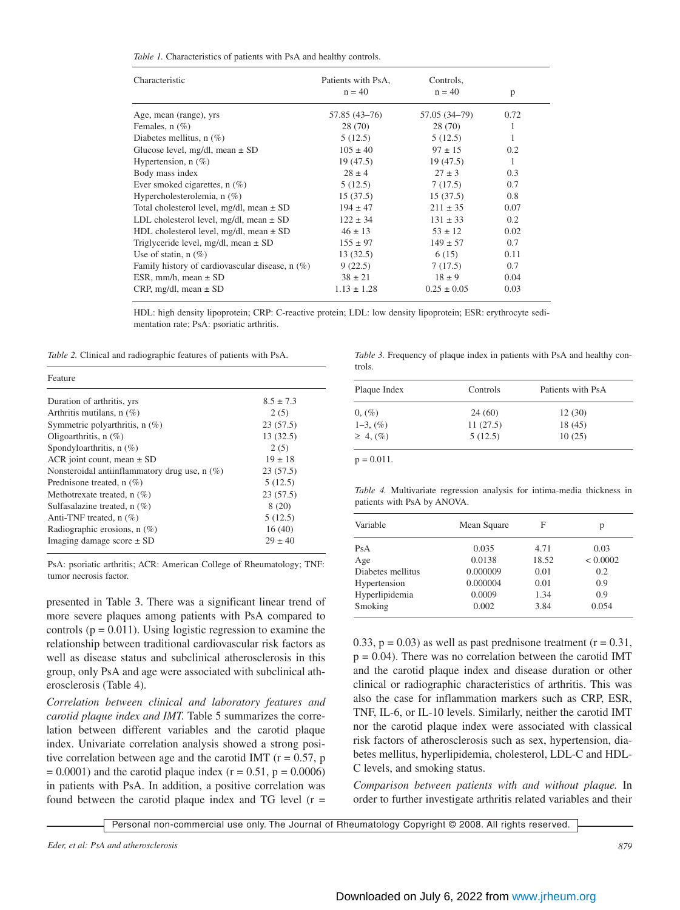| Table 1. Characteristics of patients with PsA and healthy controls. |  |  |  |  |  |
|---------------------------------------------------------------------|--|--|--|--|--|
|---------------------------------------------------------------------|--|--|--|--|--|

| Characteristic                                  | Patients with PsA,<br>$n = 40$ | Controls,<br>$n = 40$ |      |  |
|-------------------------------------------------|--------------------------------|-----------------------|------|--|
|                                                 |                                |                       | p    |  |
| Age, mean (range), yrs                          | 57.85 (43-76)                  | 57.05 (34-79)         | 0.72 |  |
| Females, $n$ $(\%)$                             | 28 (70)                        | 28 (70)               | 1    |  |
| Diabetes mellitus, $n$ $(\%)$                   | 5(12.5)                        | 5(12.5)               | 1    |  |
| Glucose level, mg/dl, mean $\pm$ SD             | $105 \pm 40$                   | $97 \pm 15$           | 0.2  |  |
| Hypertension, $n$ $(\%)$                        | 19(47.5)                       | 19(47.5)              | 1    |  |
| Body mass index                                 | $28 \pm 4$                     | $27 \pm 3$            | 0.3  |  |
| Ever smoked cigarettes, $n$ $(\%)$              | 5(12.5)                        | 7(17.5)               | 0.7  |  |
| Hypercholesterolemia, n (%)                     | 15(37.5)                       | 15(37.5)              | 0.8  |  |
| Total cholesterol level, mg/dl, mean $\pm$ SD   | $194 \pm 47$                   | $211 \pm 35$          | 0.07 |  |
| LDL cholesterol level, $mg/dl$ , mean $\pm$ SD  | $122 \pm 34$                   | $131 \pm 33$          | 0.2  |  |
| HDL cholesterol level, mg/dl, mean $\pm$ SD     | $46 \pm 13$                    | $53 \pm 12$           | 0.02 |  |
| Triglyceride level, mg/dl, mean $\pm$ SD        | $155 \pm 97$                   | $149 \pm 57$          | 0.7  |  |
| Use of statin, $n(\%)$                          | 13(32.5)                       | 6(15)                 | 0.11 |  |
| Family history of cardiovascular disease, n (%) | 9(22.5)                        | 7(17.5)               | 0.7  |  |
| ESR, mm/h, mean ± SD                            | $38 \pm 21$                    | $18 \pm 9$            | 0.04 |  |
| CRP, mg/dl, mean $\pm$ SD                       | $1.13 \pm 1.28$                | $0.25 \pm 0.05$       | 0.03 |  |

HDL: high density lipoprotein; CRP: C-reactive protein; LDL: low density lipoprotein; ESR: erythrocyte sedimentation rate; PsA: psoriatic arthritis.

*Table 2.* Clinical and radiographic features of patients with PsA.

| Feature                                         |               |
|-------------------------------------------------|---------------|
| Duration of arthritis, yrs                      | $8.5 \pm 7.3$ |
| Arthritis mutilans, $n$ (%)                     | 2(5)          |
| Symmetric polyarthritis, $n$ (%)                | 23(57.5)      |
| Oligoarthritis, $n$ (%)                         | 13(32.5)      |
| Spondyloarthritis, $n$ (%)                      | 2(5)          |
| ACR joint count, mean $\pm$ SD                  | $19 \pm 18$   |
| Nonsteroidal antiinflammatory drug use, $n$ (%) | 23(57.5)      |
| Prednisone treated, $n$ (%)                     | 5(12.5)       |
| Methotrexate treated, $n$ (%)                   | 23(57.5)      |
| Sulfasalazine treated, $n$ (%)                  | 8(20)         |
| Anti-TNF treated, $n$ (%)                       | 5(12.5)       |
| Radiographic erosions, $n$ (%)                  | 16(40)        |
| Imaging damage score $\pm$ SD                   | $29 \pm 40$   |

PsA: psoriatic arthritis; ACR: American College of Rheumatology; TNF: tumor necrosis factor.

presented in Table 3. There was a significant linear trend of more severe plaques among patients with PsA compared to controls ( $p = 0.011$ ). Using logistic regression to examine the relationship between traditional cardiovascular risk factors as well as disease status and subclinical atherosclerosis in this group, only PsA and age were associated with subclinical atherosclerosis (Table 4).

*Correlation between clinical and laboratory features and carotid plaque index and IMT.* Table 5 summarizes the correlation between different variables and the carotid plaque index. Univariate correlation analysis showed a strong positive correlation between age and the carotid IMT ( $r = 0.57$ , p  $= 0.0001$ ) and the carotid plaque index (r = 0.51, p = 0.0006) in patients with PsA. In addition, a positive correlation was found between the carotid plaque index and TG level  $(r =$  *Table 3.* Frequency of plaque index in patients with PsA and healthy controls.

| Plaque Index   | Controls | Patients with PsA |  |
|----------------|----------|-------------------|--|
| $0, (\%)$      | 24(60)   | 12(30)            |  |
| $1-3, (%)$     | 11(27.5) | 18 (45)           |  |
| $\geq 4, (\%)$ | 5(12.5)  | 10(25)            |  |

 $p = 0.011$ .

*Table 4.* Multivariate regression analysis for intima-media thickness in patients with PsA by ANOVA.

| Variable          | Mean Square | F     | р        |
|-------------------|-------------|-------|----------|
| PsA               | 0.035       | 4.71  | 0.03     |
| Age               | 0.0138      | 18.52 | < 0.0002 |
| Diabetes mellitus | 0.000009    | 0.01  | 0.2      |
| Hypertension      | 0.000004    | 0.01  | 0.9      |
| Hyperlipidemia    | 0.0009      | 1.34  | 0.9      |
| Smoking           | 0.002       | 3.84  | 0.054    |

0.33,  $p = 0.03$ ) as well as past prednisone treatment ( $r = 0.31$ ,  $p = 0.04$ ). There was no correlation between the carotid IMT and the carotid plaque index and disease duration or other clinical or radiographic characteristics of arthritis. This was also the case for inflammation markers such as CRP, ESR, TNF, IL-6, or IL-10 levels. Similarly, neither the carotid IMT nor the carotid plaque index were associated with classical risk factors of atherosclerosis such as sex, hypertension, diabetes mellitus, hyperlipidemia, cholesterol, LDL-C and HDL-C levels, and smoking status.

*Comparison between patients with and without plaque.* In order to further investigate arthritis related variables and their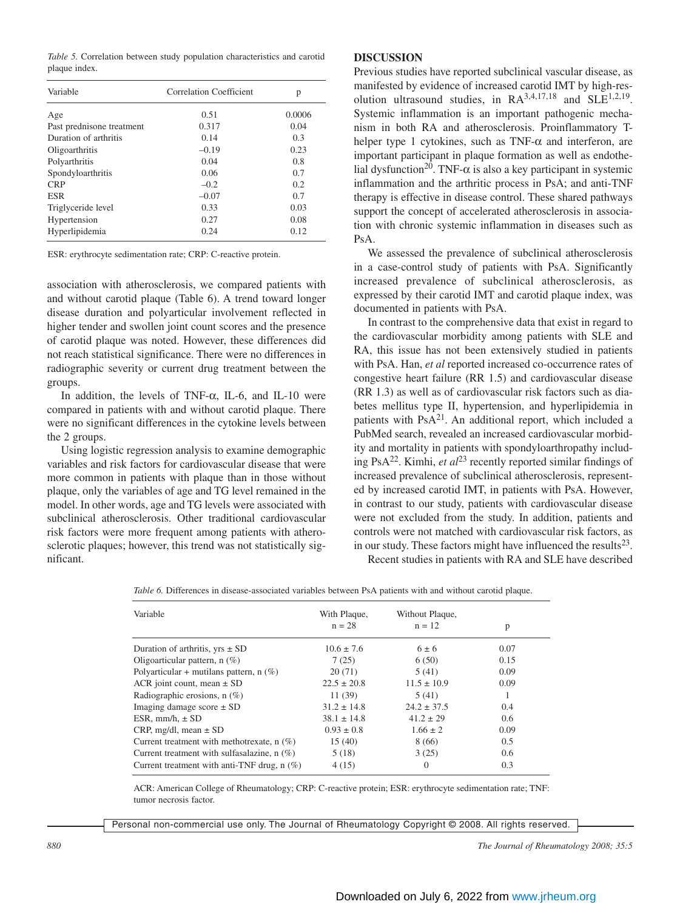*Table 5.* Correlation between study population characteristics and carotid plaque index.

| 0.51    | 0.0006 |
|---------|--------|
| 0.317   | 0.04   |
| 0.14    | 0.3    |
| $-0.19$ | 0.23   |
| 0.04    | 0.8    |
| 0.06    | 0.7    |
| $-0.2$  | 0.2    |
| $-0.07$ | 0.7    |
| 0.33    | 0.03   |
| 0.27    | 0.08   |
| 0.24    | 0.12   |
|         |        |

ESR: erythrocyte sedimentation rate; CRP: C-reactive protein.

association with atherosclerosis, we compared patients with and without carotid plaque (Table 6). A trend toward longer disease duration and polyarticular involvement reflected in higher tender and swollen joint count scores and the presence of carotid plaque was noted. However, these differences did not reach statistical significance. There were no differences in radiographic severity or current drug treatment between the groups.

In addition, the levels of TNF- $\alpha$ , IL-6, and IL-10 were compared in patients with and without carotid plaque. There were no significant differences in the cytokine levels between the 2 groups.

Using logistic regression analysis to examine demographic variables and risk factors for cardiovascular disease that were more common in patients with plaque than in those without plaque, only the variables of age and TG level remained in the model. In other words, age and TG levels were associated with subclinical atherosclerosis. Other traditional cardiovascular risk factors were more frequent among patients with atherosclerotic plaques; however, this trend was not statistically significant.

### **DISCUSSION**

Previous studies have reported subclinical vascular disease, as manifested by evidence of increased carotid IMT by high-resolution ultrasound studies, in RA3,4,17,18 and SLE1,2,19. Systemic inflammation is an important pathogenic mechanism in both RA and atherosclerosis. Proinflammatory Thelper type 1 cytokines, such as TNF- $\alpha$  and interferon, are important participant in plaque formation as well as endothelial dysfunction<sup>20</sup>. TNF- $\alpha$  is also a key participant in systemic inflammation and the arthritic process in PsA; and anti-TNF therapy is effective in disease control. These shared pathways support the concept of accelerated atherosclerosis in association with chronic systemic inflammation in diseases such as PsA.

We assessed the prevalence of subclinical atherosclerosis in a case-control study of patients with PsA. Significantly increased prevalence of subclinical atherosclerosis, as expressed by their carotid IMT and carotid plaque index, was documented in patients with PsA.

In contrast to the comprehensive data that exist in regard to the cardiovascular morbidity among patients with SLE and RA, this issue has not been extensively studied in patients with PsA. Han, *et al* reported increased co-occurrence rates of congestive heart failure (RR 1.5) and cardiovascular disease (RR 1.3) as well as of cardiovascular risk factors such as diabetes mellitus type II, hypertension, and hyperlipidemia in patients with PsA<sup>21</sup>. An additional report, which included a PubMed search, revealed an increased cardiovascular morbidity and mortality in patients with spondyloarthropathy including PsA22. Kimhi, *et al*<sup>23</sup> recently reported similar findings of increased prevalence of subclinical atherosclerosis, represented by increased carotid IMT, in patients with PsA. However, in contrast to our study, patients with cardiovascular disease were not excluded from the study. In addition, patients and controls were not matched with cardiovascular risk factors, as in our study. These factors might have influenced the results $^{23}$ .

Recent studies in patients with RA and SLE have described

*Table 6.* Differences in disease-associated variables between PsA patients with and without carotid plaque.

| Variable                                      | With Plaque,    | Without Plaque, |      |
|-----------------------------------------------|-----------------|-----------------|------|
|                                               | $n = 28$        | $n = 12$        | p    |
| Duration of arthritis, $vrs \pm SD$           | $10.6 \pm 7.6$  | $6 \pm 6$       | 0.07 |
| Oligoarticular pattern, $n$ (%)               | 7(25)           | 6(50)           | 0.15 |
| Polyarticular + mutilans pattern, $n$ (%)     | 20(71)          | 5(41)           | 0.09 |
| ACR joint count, mean $\pm$ SD                | $22.5 \pm 20.8$ | $11.5 \pm 10.9$ | 0.09 |
| Radiographic erosions, $n$ (%)                | 11(39)          | 5(41)           |      |
| Imaging damage score $\pm$ SD                 | $31.2 \pm 14.8$ | $24.2 \pm 37.5$ | 0.4  |
| ESR. $mm/h. \pm SD$                           | $38.1 \pm 14.8$ | $41.2 \pm 29$   | 0.6  |
| CRP, mg/dl, mean $\pm$ SD                     | $0.93 \pm 0.8$  | $1.66 \pm 2$    | 0.09 |
| Current treatment with methotrexate, $n$ (%)  | 15(40)          | 8(66)           | 0.5  |
| Current treatment with sulfasalazine, $n$ (%) | 5(18)           | 3(25)           | 0.6  |
| Current treatment with anti-TNF drug, $n$ (%) | 4(15)           | $\Omega$        | 0.3  |

ACR: American College of Rheumatology; CRP: C-reactive protein; ESR: erythrocyte sedimentation rate; TNF: tumor necrosis factor.

Personal non-commercial use only. The Journal of Rheumatology Copyright © 2008. All rights reserved.

*880 The Journal of Rheumatology 2008; 35:5*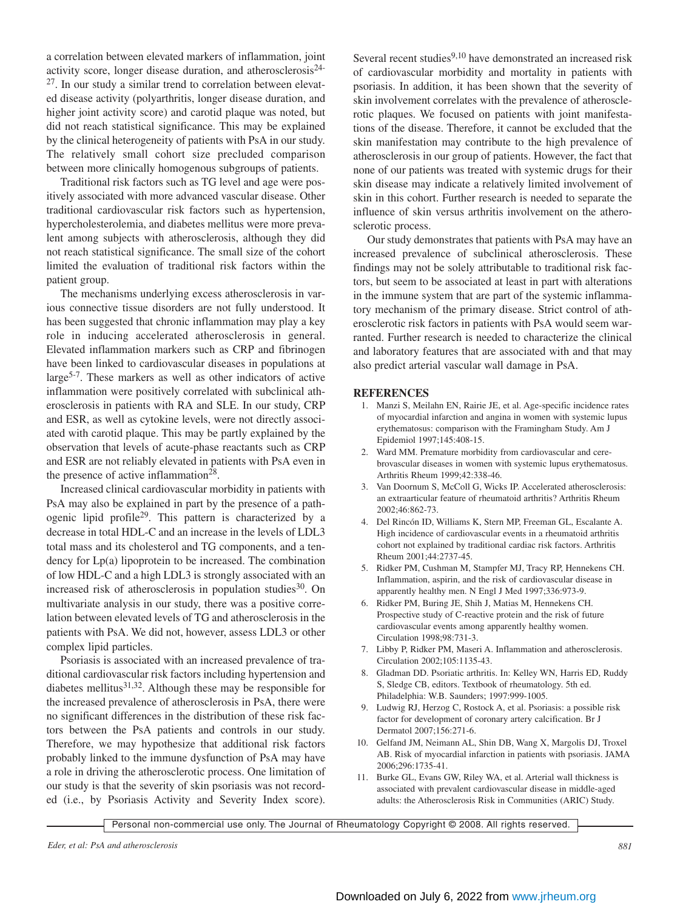a correlation between elevated markers of inflammation, joint activity score, longer disease duration, and atherosclerosis24-  $27$ . In our study a similar trend to correlation between elevated disease activity (polyarthritis, longer disease duration, and higher joint activity score) and carotid plaque was noted, but did not reach statistical significance. This may be explained by the clinical heterogeneity of patients with PsA in our study. The relatively small cohort size precluded comparison between more clinically homogenous subgroups of patients.

Traditional risk factors such as TG level and age were positively associated with more advanced vascular disease. Other traditional cardiovascular risk factors such as hypertension, hypercholesterolemia, and diabetes mellitus were more prevalent among subjects with atherosclerosis, although they did not reach statistical significance. The small size of the cohort limited the evaluation of traditional risk factors within the patient group.

The mechanisms underlying excess atherosclerosis in various connective tissue disorders are not fully understood. It has been suggested that chronic inflammation may play a key role in inducing accelerated atherosclerosis in general. Elevated inflammation markers such as CRP and fibrinogen have been linked to cardiovascular diseases in populations at large5-7. These markers as well as other indicators of active inflammation were positively correlated with subclinical atherosclerosis in patients with RA and SLE. In our study, CRP and ESR, as well as cytokine levels, were not directly associated with carotid plaque. This may be partly explained by the observation that levels of acute-phase reactants such as CRP and ESR are not reliably elevated in patients with PsA even in the presence of active inflammation<sup>28</sup>.

Increased clinical cardiovascular morbidity in patients with PsA may also be explained in part by the presence of a pathogenic lipid profile29. This pattern is characterized by a decrease in total HDL-C and an increase in the levels of LDL3 total mass and its cholesterol and TG components, and a tendency for Lp(a) lipoprotein to be increased. The combination of low HDL-C and a high LDL3 is strongly associated with an increased risk of atherosclerosis in population studies $30$ . On multivariate analysis in our study, there was a positive correlation between elevated levels of TG and atherosclerosis in the patients with PsA. We did not, however, assess LDL3 or other complex lipid particles.

Psoriasis is associated with an increased prevalence of traditional cardiovascular risk factors including hypertension and diabetes mellitus $31,32$ . Although these may be responsible for the increased prevalence of atherosclerosis in PsA, there were no significant differences in the distribution of these risk factors between the PsA patients and controls in our study. Therefore, we may hypothesize that additional risk factors probably linked to the immune dysfunction of PsA may have a role in driving the atherosclerotic process. One limitation of our study is that the severity of skin psoriasis was not recorded (i.e., by Psoriasis Activity and Severity Index score).

Several recent studies<sup>9,10</sup> have demonstrated an increased risk of cardiovascular morbidity and mortality in patients with psoriasis. In addition, it has been shown that the severity of skin involvement correlates with the prevalence of atherosclerotic plaques. We focused on patients with joint manifestations of the disease. Therefore, it cannot be excluded that the skin manifestation may contribute to the high prevalence of atherosclerosis in our group of patients. However, the fact that none of our patients was treated with systemic drugs for their skin disease may indicate a relatively limited involvement of skin in this cohort. Further research is needed to separate the influence of skin versus arthritis involvement on the atherosclerotic process.

Our study demonstrates that patients with PsA may have an increased prevalence of subclinical atherosclerosis. These findings may not be solely attributable to traditional risk factors, but seem to be associated at least in part with alterations in the immune system that are part of the systemic inflammatory mechanism of the primary disease. Strict control of atherosclerotic risk factors in patients with PsA would seem warranted. Further research is needed to characterize the clinical and laboratory features that are associated with and that may also predict arterial vascular wall damage in PsA.

#### **REFERENCES**

- 1. Manzi S, Meilahn EN, Rairie JE, et al. Age-specific incidence rates of myocardial infarction and angina in women with systemic lupus erythematosus: comparison with the Framingham Study. Am J Epidemiol 1997;145:408-15.
- 2. Ward MM. Premature morbidity from cardiovascular and cerebrovascular diseases in women with systemic lupus erythematosus. Arthritis Rheum 1999;42:338-46.
- 3. Van Doornum S, McColl G, Wicks IP. Accelerated atherosclerosis: an extraarticular feature of rheumatoid arthritis? Arthritis Rheum 2002;46:862-73.
- 4. Del Rincón ID, Williams K, Stern MP, Freeman GL, Escalante A. High incidence of cardiovascular events in a rheumatoid arthritis cohort not explained by traditional cardiac risk factors. Arthritis Rheum 2001;44:2737-45.
- 5. Ridker PM, Cushman M, Stampfer MJ, Tracy RP, Hennekens CH. Inflammation, aspirin, and the risk of cardiovascular disease in apparently healthy men. N Engl J Med 1997;336:973-9.
- 6. Ridker PM, Buring JE, Shih J, Matias M, Hennekens CH. Prospective study of C-reactive protein and the risk of future cardiovascular events among apparently healthy women. Circulation 1998;98:731-3.
- 7. Libby P, Ridker PM, Maseri A. Inflammation and atherosclerosis. Circulation 2002;105:1135-43.
- 8. Gladman DD. Psoriatic arthritis. In: Kelley WN, Harris ED, Ruddy S, Sledge CB, editors. Textbook of rheumatology. 5th ed. Philadelphia: W.B. Saunders; 1997:999-1005.
- 9. Ludwig RJ, Herzog C, Rostock A, et al. Psoriasis: a possible risk factor for development of coronary artery calcification. Br J Dermatol 2007;156:271-6.
- 10. Gelfand JM, Neimann AL, Shin DB, Wang X, Margolis DJ, Troxel AB. Risk of myocardial infarction in patients with psoriasis. JAMA 2006;296:1735-41.
- 11. Burke GL, Evans GW, Riley WA, et al. Arterial wall thickness is associated with prevalent cardiovascular disease in middle-aged adults: the Atherosclerosis Risk in Communities (ARIC) Study.